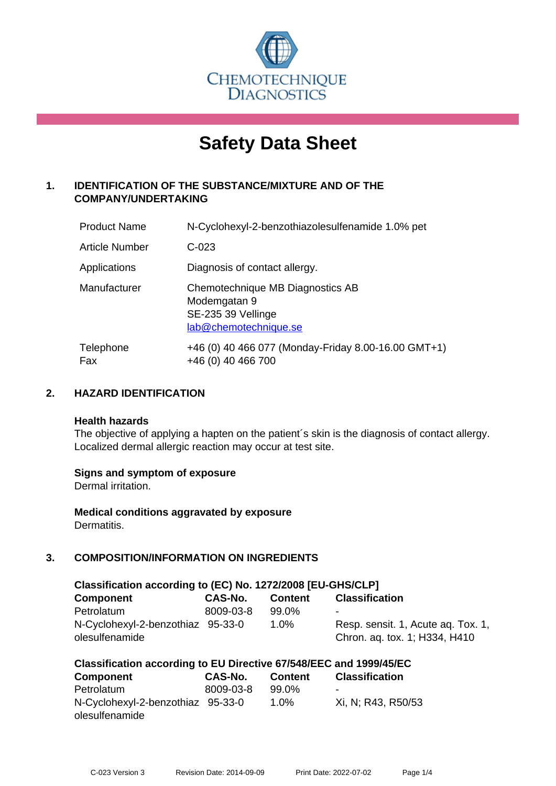

# **Safety Data Sheet**

# **1. IDENTIFICATION OF THE SUBSTANCE/MIXTURE AND OF THE COMPANY/UNDERTAKING**

| <b>Product Name</b>   | N-Cyclohexyl-2-benzothiazolesulfenamide 1.0% pet                                                |
|-----------------------|-------------------------------------------------------------------------------------------------|
| <b>Article Number</b> | C-023                                                                                           |
| Applications          | Diagnosis of contact allergy.                                                                   |
| Manufacturer          | Chemotechnique MB Diagnostics AB<br>Modemgatan 9<br>SE-235 39 Vellinge<br>lab@chemotechnique.se |
| Telephone<br>Fax      | +46 (0) 40 466 077 (Monday-Friday 8.00-16.00 GMT+1)<br>+46 (0) 40 466 700                       |

## **2. HAZARD IDENTIFICATION**

#### **Health hazards**

The objective of applying a hapten on the patient's skin is the diagnosis of contact allergy. Localized dermal allergic reaction may occur at test site.

## **Signs and symptom of exposure**

Dermal irritation.

**Medical conditions aggravated by exposure** Dermatitis.

# **3. COMPOSITION/INFORMATION ON INGREDIENTS**

| Classification according to (EC) No. 1272/2008 [EU-GHS/CLP] |           |                |                                                                     |  |  |
|-------------------------------------------------------------|-----------|----------------|---------------------------------------------------------------------|--|--|
| Component                                                   | CAS-No.   | <b>Content</b> | <b>Classification</b>                                               |  |  |
| Petrolatum                                                  | 8009-03-8 | 99.0%          | -                                                                   |  |  |
| N-Cyclohexyl-2-benzothiaz 95-33-0<br>olesulfenamide         |           | $1.0\%$        | Resp. sensit. 1, Acute ag. Tox. 1,<br>Chron. aq. tox. 1; H334, H410 |  |  |

| Classification according to EU Directive 67/548/EEC and 1999/45/EC |           |                |                       |  |
|--------------------------------------------------------------------|-----------|----------------|-----------------------|--|
| <b>Component</b>                                                   | CAS-No.   | <b>Content</b> | <b>Classification</b> |  |
| Petrolatum                                                         | 8009-03-8 | 99.0%          | ۰                     |  |
| N-Cyclohexyl-2-benzothiaz 95-33-0                                  |           | $1.0\%$        | Xi, N; R43, R50/53    |  |
| olesulfenamide                                                     |           |                |                       |  |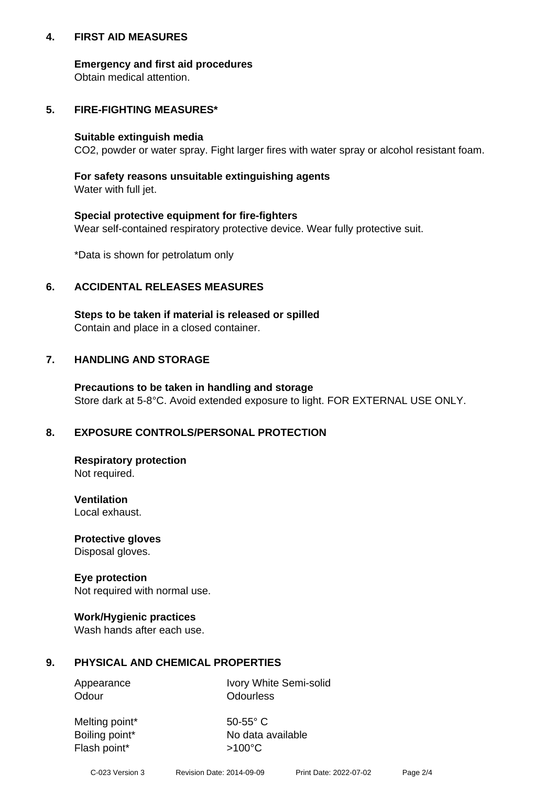## **4. FIRST AID MEASURES**

## **Emergency and first aid procedures**

Obtain medical attention.

# **5. FIRE-FIGHTING MEASURES\***

#### **Suitable extinguish media**

CO2, powder or water spray. Fight larger fires with water spray or alcohol resistant foam.

# **For safety reasons unsuitable extinguishing agents**

Water with full jet.

## **Special protective equipment for fire-fighters**

Wear self-contained respiratory protective device. Wear fully protective suit.

\*Data is shown for petrolatum only

## **6. ACCIDENTAL RELEASES MEASURES**

**Steps to be taken if material is released or spilled** Contain and place in a closed container.

# **7. HANDLING AND STORAGE**

**Precautions to be taken in handling and storage** Store dark at 5-8°C. Avoid extended exposure to light. FOR EXTERNAL USE ONLY.

# **8. EXPOSURE CONTROLS/PERSONAL PROTECTION**

**Respiratory protection** Not required.

**Ventilation** Local exhaust.

**Protective gloves** Disposal gloves.

#### **Eye protection** Not required with normal use.

## **Work/Hygienic practices**

Wash hands after each use.

## **9. PHYSICAL AND CHEMICAL PROPERTIES**

Odour **Odourless** 

Appearance Ivory White Semi-solid

Melting point\* 50-55° C Flash point\*  $>100^{\circ}$ C

Boiling point\* No data available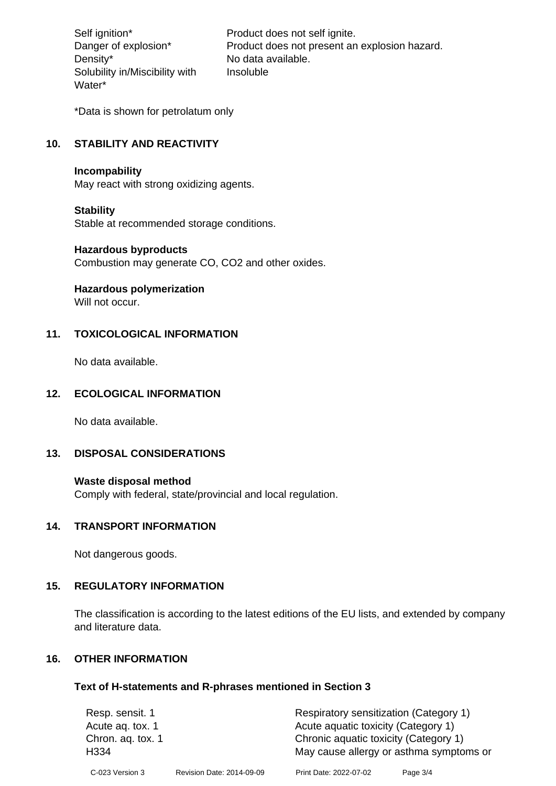Density\* No data available. Solubility in/Miscibility with Water\*

Self ignition\* Product does not self ignite. Danger of explosion\* Product does not present an explosion hazard. Insoluble

\*Data is shown for petrolatum only

# **10. STABILITY AND REACTIVITY**

#### **Incompability**

May react with strong oxidizing agents.

#### **Stability**

Stable at recommended storage conditions.

#### **Hazardous byproducts**

Combustion may generate CO, CO2 and other oxides.

**Hazardous polymerization**

Will not occur.

## **11. TOXICOLOGICAL INFORMATION**

No data available.

## **12. ECOLOGICAL INFORMATION**

No data available.

## **13. DISPOSAL CONSIDERATIONS**

#### **Waste disposal method**

Comply with federal, state/provincial and local regulation.

#### **14. TRANSPORT INFORMATION**

Not dangerous goods.

## **15. REGULATORY INFORMATION**

The classification is according to the latest editions of the EU lists, and extended by company and literature data.

#### **16. OTHER INFORMATION**

#### **Text of H-statements and R-phrases mentioned in Section 3**

| Resp. sensit. 1           |                           | Respiratory sensitization (Category 1)                                           |          |  |
|---------------------------|---------------------------|----------------------------------------------------------------------------------|----------|--|
| Acute ag. tox. 1          |                           | Acute aquatic toxicity (Category 1)                                              |          |  |
| Chron. ag. tox. 1<br>H334 |                           | Chronic aquatic toxicity (Category 1)<br>May cause allergy or asthma symptoms or |          |  |
| C-023 Version 3           | Revision Date: 2014-09-09 | Print Date: 2022-07-02                                                           | Page 3/4 |  |